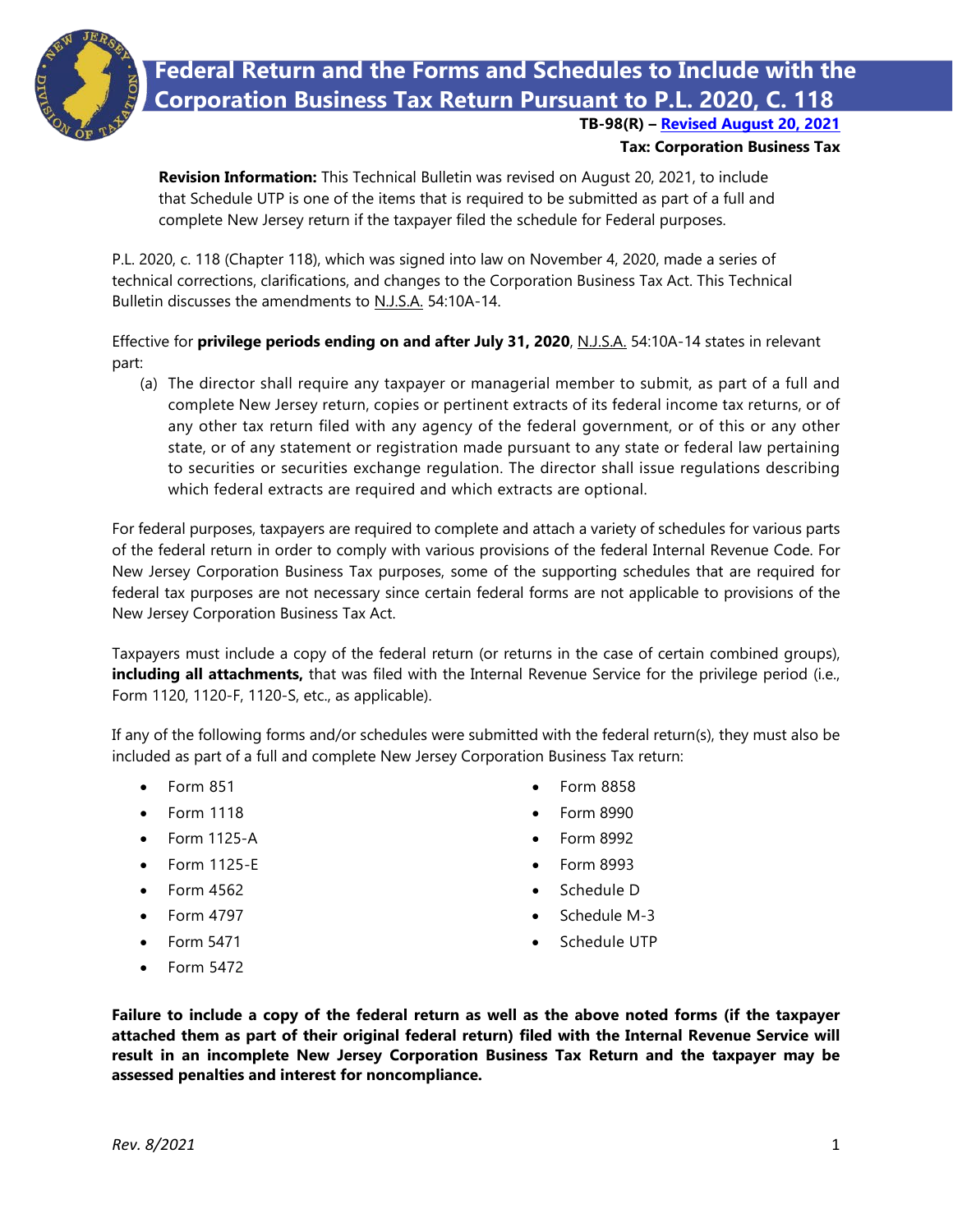

**Federal Return and the Forms and Schedules to Include with the Corporation Business Tax Return Pursuant to P.L. 2020, C. 118**

**TB-98(R) – [Revised August 20, 2021](#page-0-0)**

## **Tax: Corporation Business Tax**

<span id="page-0-0"></span>**Revision Information:** This Technical Bulletin was revised on August 20, 2021, to include that Schedule UTP is one of the items that is required to be submitted as part of a full and complete New Jersey return if the taxpayer filed the schedule for Federal purposes.

P.L. 2020, c. 118 (Chapter 118), which was signed into law on November 4, 2020, made a series of technical corrections, clarifications, and changes to the Corporation Business Tax Act. This Technical Bulletin discusses the amendments to N.J.S.A. 54:10A-14.

Effective for **privilege periods ending on and after July 31, 2020**, N.J.S.A. 54:10A-14 states in relevant part:

(a) The director shall require any taxpayer or managerial member to submit, as part of a full and complete New Jersey return, copies or pertinent extracts of its federal income tax returns, or of any other tax return filed with any agency of the federal government, or of this or any other state, or of any statement or registration made pursuant to any state or federal law pertaining to securities or securities exchange regulation. The director shall issue regulations describing which federal extracts are required and which extracts are optional.

For federal purposes, taxpayers are required to complete and attach a variety of schedules for various parts of the federal return in order to comply with various provisions of the federal Internal Revenue Code. For New Jersey Corporation Business Tax purposes, some of the supporting schedules that are required for federal tax purposes are not necessary since certain federal forms are not applicable to provisions of the New Jersey Corporation Business Tax Act.

Taxpayers must include a copy of the federal return (or returns in the case of certain combined groups), **including all attachments,** that was filed with the Internal Revenue Service for the privilege period (i.e., Form 1120, 1120-F, 1120-S, etc., as applicable).

If any of the following forms and/or schedules were submitted with the federal return(s), they must also be included as part of a full and complete New Jersey Corporation Business Tax return:

- Form 851
- Form 1118
- Form 1125-A
- Form 1125-E
- Form 4562
- Form 4797
- Form 5471
- Form 5472
- Form 8858
- Form 8990
- Form 8992
- Form 8993
- Schedule D
- Schedule M-3
- Schedule UTP
- **Failure to include a copy of the federal return as well as the above noted forms (if the taxpayer attached them as part of their original federal return) filed with the Internal Revenue Service will result in an incomplete New Jersey Corporation Business Tax Return and the taxpayer may be assessed penalties and interest for noncompliance.**